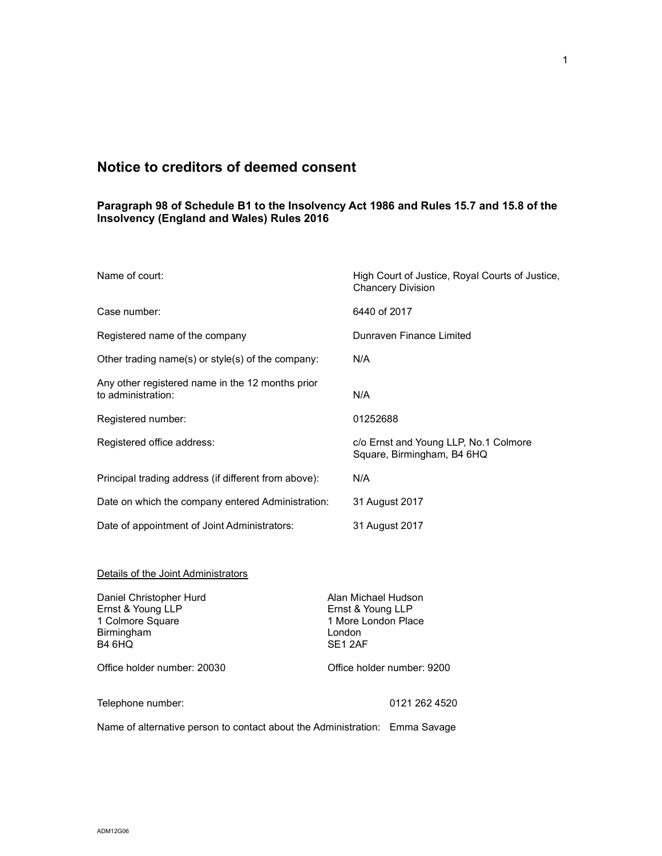## Notice to creditors of deemed consent

## Paragraph 98 of Schedule B1 to the Insolvency Act 1986 and Rules 15.7 and 15.8 of the Insolvency (England and Wales) Rules 2016

| Name of court:                                                                           | High Court of Justice, Royal Courts of Justice,<br><b>Chancery Division</b>         |
|------------------------------------------------------------------------------------------|-------------------------------------------------------------------------------------|
| Case number:                                                                             | 6440 of 2017                                                                        |
| Registered name of the company                                                           | Dunraven Finance Limited                                                            |
| Other trading name(s) or style(s) of the company:                                        | N/A                                                                                 |
| Any other registered name in the 12 months prior<br>to administration:                   | N/A                                                                                 |
| Registered number:                                                                       | 01252688                                                                            |
| Registered office address:                                                               | c/o Ernst and Young LLP, No.1 Colmore<br>Square, Birmingham, B4 6HQ                 |
| Principal trading address (if different from above):                                     | N/A                                                                                 |
| Date on which the company entered Administration:                                        | 31 August 2017                                                                      |
| Date of appointment of Joint Administrators:                                             | 31 August 2017                                                                      |
| Details of the Joint Administrators                                                      |                                                                                     |
| Daniel Christopher Hurd<br>Ernst & Young LLP<br>1 Colmore Square<br>Birmingham<br>B4 6HQ | Alan Michael Hudson<br>Ernst & Young LLP<br>1 More London Place<br>London<br>SE12AF |
| Office holder number: 20030                                                              | Office holder number: 9200                                                          |
| Telephone number:                                                                        | 0121 262 4520                                                                       |
| Name of alternative person to contact about the Administration: Emma Savage              |                                                                                     |